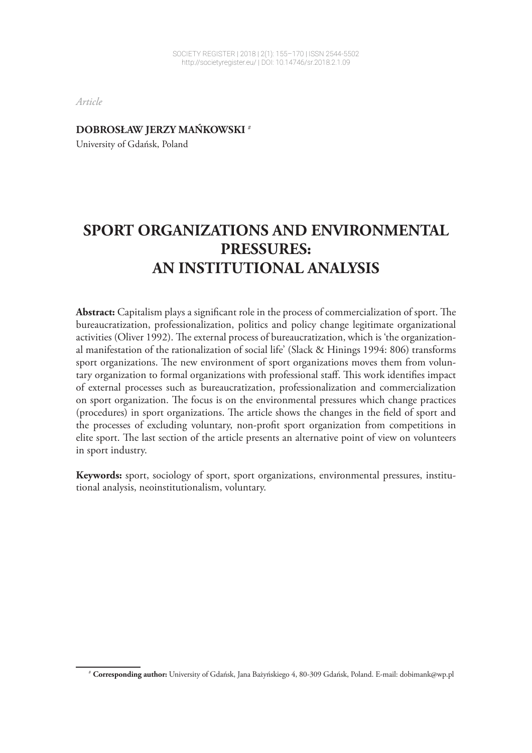*Article*

**DOBROSŁAW JERZY MAŃKOWSKI <sup>1</sup>** #

University of Gdańsk, Poland

# **SPORT ORGANIZATIONS AND ENVIRONMENTAL PRESSURES: AN INSTITUTIONAL ANALYSIS**

**Abstract:** Capitalism plays a significant role in the process of commercialization of sport. The bureaucratization, professionalization, politics and policy change legitimate organizational activities (Oliver 1992). The external process of bureaucratization, which is 'the organizational manifestation of the rationalization of social life' (Slack & Hinings 1994: 806) transforms sport organizations. The new environment of sport organizations moves them from voluntary organization to formal organizations with professional staff. This work identifies impact of external processes such as bureaucratization, professionalization and commercialization on sport organization. The focus is on the environmental pressures which change practices (procedures) in sport organizations. The article shows the changes in the field of sport and the processes of excluding voluntary, non-profit sport organization from competitions in elite sport. The last section of the article presents an alternative point of view on volunteers in sport industry.

**Keywords:** sport, sociology of sport, sport organizations, environmental pressures, institutional analysis, neoinstitutionalism, voluntary.

<sup>1</sup> # **Corresponding author:** University of Gdańsk, Jana Bażyńskiego 4, 80-309 Gdańsk, Poland. E-mail: dobimank@wp.pl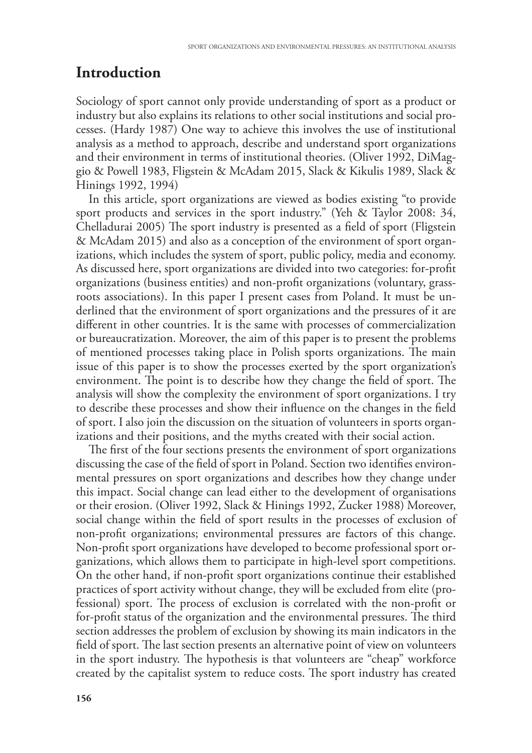### **Introduction**

Sociology of sport cannot only provide understanding of sport as a product or industry but also explains its relations to other social institutions and social processes. (Hardy 1987) One way to achieve this involves the use of institutional analysis as a method to approach, describe and understand sport organizations and their environment in terms of institutional theories. (Oliver 1992, DiMaggio & Powell 1983, Fligstein & McAdam 2015, Slack & Kikulis 1989, Slack & Hinings 1992, 1994)

In this article, sport organizations are viewed as bodies existing "to provide sport products and services in the sport industry." (Yeh & Taylor 2008: 34, Chelladurai 2005) The sport industry is presented as a field of sport (Fligstein & McAdam 2015) and also as a conception of the environment of sport organizations, which includes the system of sport, public policy, media and economy. As discussed here, sport organizations are divided into two categories: for-profit organizations (business entities) and non-profit organizations (voluntary, grassroots associations). In this paper I present cases from Poland. It must be underlined that the environment of sport organizations and the pressures of it are different in other countries. It is the same with processes of commercialization or bureaucratization. Moreover, the aim of this paper is to present the problems of mentioned processes taking place in Polish sports organizations. The main issue of this paper is to show the processes exerted by the sport organization's environment. The point is to describe how they change the field of sport. The analysis will show the complexity the environment of sport organizations. I try to describe these processes and show their influence on the changes in the field of sport. I also join the discussion on the situation of volunteers in sports organizations and their positions, and the myths created with their social action.

The first of the four sections presents the environment of sport organizations discussing the case of the field of sport in Poland. Section two identifies environmental pressures on sport organizations and describes how they change under this impact. Social change can lead either to the development of organisations or their erosion. (Oliver 1992, Slack & Hinings 1992, Zucker 1988) Moreover, social change within the field of sport results in the processes of exclusion of non-profit organizations; environmental pressures are factors of this change. Non-profit sport organizations have developed to become professional sport organizations, which allows them to participate in high-level sport competitions. On the other hand, if non-profit sport organizations continue their established practices of sport activity without change, they will be excluded from elite (professional) sport. The process of exclusion is correlated with the non-profit or for-profit status of the organization and the environmental pressures. The third section addresses the problem of exclusion by showing its main indicators in the field of sport. The last section presents an alternative point of view on volunteers in the sport industry. The hypothesis is that volunteers are "cheap" workforce created by the capitalist system to reduce costs. The sport industry has created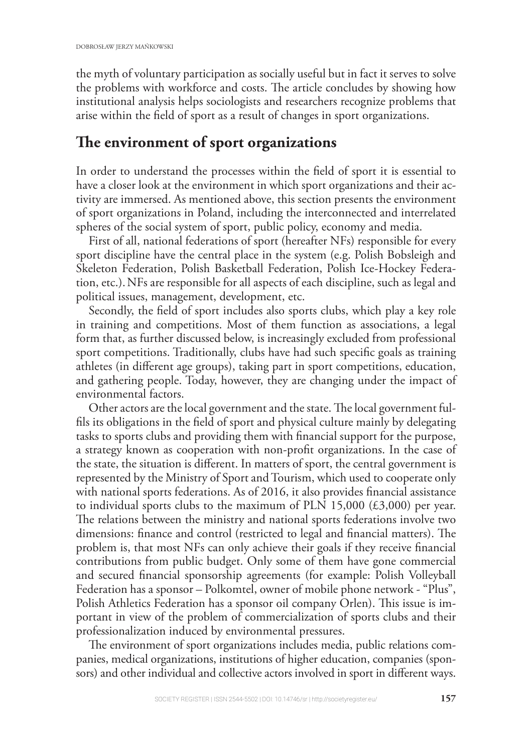the myth of voluntary participation as socially useful but in fact it serves to solve the problems with workforce and costs. The article concludes by showing how institutional analysis helps sociologists and researchers recognize problems that arise within the field of sport as a result of changes in sport organizations.

## The environment of sport organizations

In order to understand the processes within the field of sport it is essential to have a closer look at the environment in which sport organizations and their activity are immersed. As mentioned above, this section presents the environment of sport organizations in Poland, including the interconnected and interrelated spheres of the social system of sport, public policy, economy and media.

First of all, national federations of sport (hereafter NFs) responsible for every sport discipline have the central place in the system (e.g. Polish Bobsleigh and Skeleton Federation, Polish Basketball Federation, Polish Ice-Hockey Federation, etc.).NFs are responsible for all aspects of each discipline, such as legal and political issues, management, development, etc.

Secondly, the field of sport includes also sports clubs, which play a key role in training and competitions. Most of them function as associations, a legal form that, as further discussed below, is increasingly excluded from professional sport competitions. Traditionally, clubs have had such specific goals as training athletes (in different age groups), taking part in sport competitions, education, and gathering people. Today, however, they are changing under the impact of environmental factors.

Other actors are the local government and the state. The local government fulfils its obligations in the field of sport and physical culture mainly by delegating tasks to sports clubs and providing them with financial support for the purpose, a strategy known as cooperation with non-profit organizations. In the case of the state, the situation is different. In matters of sport, the central government is represented by the Ministry of Sport and Tourism, which used to cooperate only with national sports federations. As of 2016, it also provides financial assistance to individual sports clubs to the maximum of PLN 15,000  $(\text{\textsterling}3,000)$  per year. The relations between the ministry and national sports federations involve two dimensions: finance and control (restricted to legal and financial matters). The problem is, that most NFs can only achieve their goals if they receive financial contributions from public budget. Only some of them have gone commercial and secured financial sponsorship agreements (for example: Polish Volleyball Federation has a sponsor – Polkomtel, owner of mobile phone network - "Plus", Polish Athletics Federation has a sponsor oil company Orlen). This issue is important in view of the problem of commercialization of sports clubs and their professionalization induced by environmental pressures.

The environment of sport organizations includes media, public relations companies, medical organizations, institutions of higher education, companies (sponsors) and other individual and collective actors involved in sport in different ways.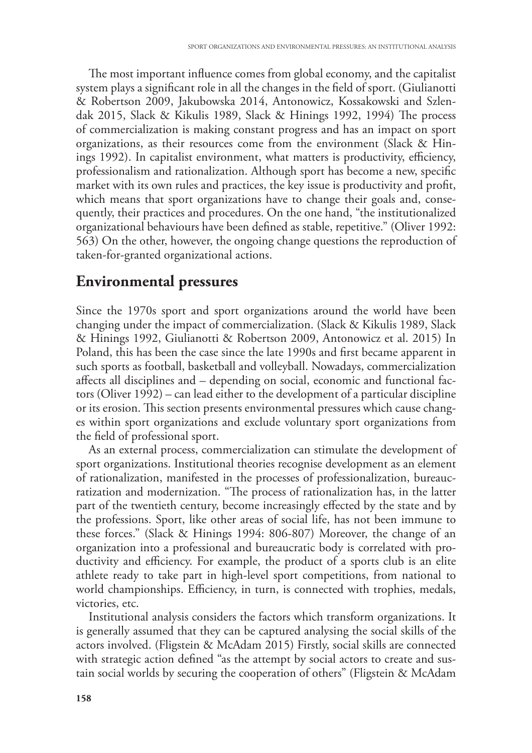The most important influence comes from global economy, and the capitalist system plays a significant role in all the changes in the field of sport. (Giulianotti & Robertson 2009, Jakubowska 2014, Antonowicz, Kossakowski and Szlendak 2015, Slack & Kikulis 1989, Slack & Hinings 1992, 1994) The process of commercialization is making constant progress and has an impact on sport organizations, as their resources come from the environment (Slack & Hinings 1992). In capitalist environment, what matters is productivity, efficiency, professionalism and rationalization. Although sport has become a new, specific market with its own rules and practices, the key issue is productivity and profit, which means that sport organizations have to change their goals and, consequently, their practices and procedures. On the one hand, "the institutionalized organizational behaviours have been defined as stable, repetitive." (Oliver 1992: 563) On the other, however, the ongoing change questions the reproduction of taken-for-granted organizational actions.

## **Environmental pressures**

Since the 1970s sport and sport organizations around the world have been changing under the impact of commercialization. (Slack & Kikulis 1989, Slack & Hinings 1992, Giulianotti & Robertson 2009, Antonowicz et al. 2015) In Poland, this has been the case since the late 1990s and first became apparent in such sports as football, basketball and volleyball. Nowadays, commercialization affects all disciplines and – depending on social, economic and functional factors (Oliver 1992) – can lead either to the development of a particular discipline or its erosion. This section presents environmental pressures which cause changes within sport organizations and exclude voluntary sport organizations from the field of professional sport.

As an external process, commercialization can stimulate the development of sport organizations. Institutional theories recognise development as an element of rationalization, manifested in the processes of professionalization, bureaucratization and modernization. "The process of rationalization has, in the latter part of the twentieth century, become increasingly effected by the state and by the professions. Sport, like other areas of social life, has not been immune to these forces." (Slack & Hinings 1994: 806-807) Moreover, the change of an organization into a professional and bureaucratic body is correlated with productivity and efficiency. For example, the product of a sports club is an elite athlete ready to take part in high-level sport competitions, from national to world championships. Efficiency, in turn, is connected with trophies, medals, victories, etc.

Institutional analysis considers the factors which transform organizations. It is generally assumed that they can be captured analysing the social skills of the actors involved. (Fligstein & McAdam 2015) Firstly, social skills are connected with strategic action defined "as the attempt by social actors to create and sustain social worlds by securing the cooperation of others" (Fligstein & McAdam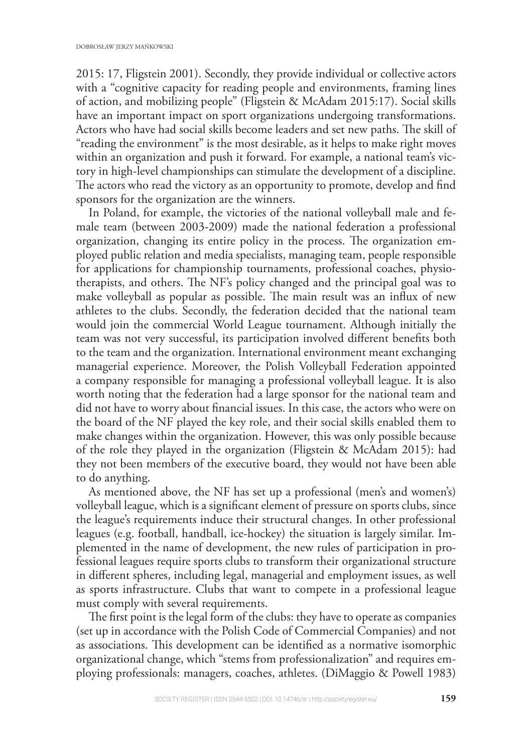2015: 17, Fligstein 2001). Secondly, they provide individual or collective actors with a "cognitive capacity for reading people and environments, framing lines of action, and mobilizing people" (Fligstein & McAdam 2015:17). Social skills have an important impact on sport organizations undergoing transformations. Actors who have had social skills become leaders and set new paths. The skill of "reading the environment" is the most desirable, as it helps to make right moves within an organization and push it forward. For example, a national team's victory in high-level championships can stimulate the development of a discipline. The actors who read the victory as an opportunity to promote, develop and find sponsors for the organization are the winners.

In Poland, for example, the victories of the national volleyball male and female team (between 2003-2009) made the national federation a professional organization, changing its entire policy in the process. The organization employed public relation and media specialists, managing team, people responsible for applications for championship tournaments, professional coaches, physiotherapists, and others. The NF's policy changed and the principal goal was to make volleyball as popular as possible. The main result was an influx of new athletes to the clubs. Secondly, the federation decided that the national team would join the commercial World League tournament. Although initially the team was not very successful, its participation involved different benefits both to the team and the organization. International environment meant exchanging managerial experience. Moreover, the Polish Volleyball Federation appointed a company responsible for managing a professional volleyball league. It is also worth noting that the federation had a large sponsor for the national team and did not have to worry about financial issues. In this case, the actors who were on the board of the NF played the key role, and their social skills enabled them to make changes within the organization. However, this was only possible because of the role they played in the organization (Fligstein & McAdam 2015): had they not been members of the executive board, they would not have been able to do anything.

As mentioned above, the NF has set up a professional (men's and women's) volleyball league, which is a significant element of pressure on sports clubs, since the league's requirements induce their structural changes. In other professional leagues (e.g. football, handball, ice-hockey) the situation is largely similar. Implemented in the name of development, the new rules of participation in professional leagues require sports clubs to transform their organizational structure in different spheres, including legal, managerial and employment issues, as well as sports infrastructure. Clubs that want to compete in a professional league must comply with several requirements.

The first point is the legal form of the clubs: they have to operate as companies (set up in accordance with the Polish Code of Commercial Companies) and not as associations. This development can be identified as a normative isomorphic organizational change, which "stems from professionalization" and requires employing professionals: managers, coaches, athletes. (DiMaggio & Powell 1983)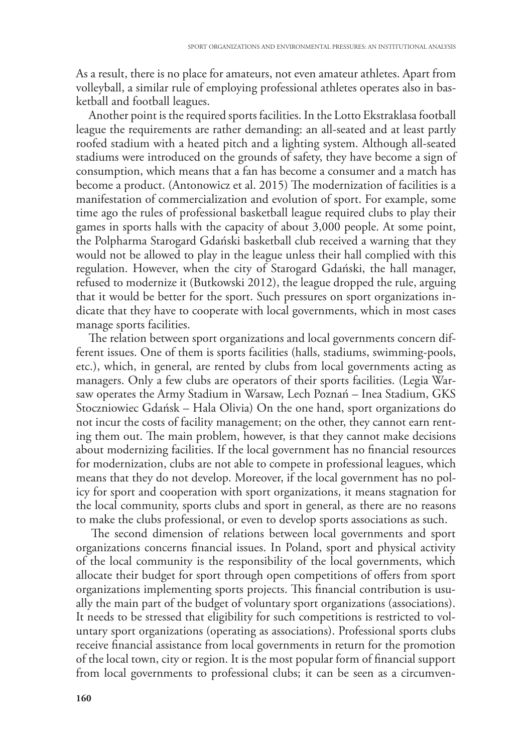As a result, there is no place for amateurs, not even amateur athletes. Apart from volleyball, a similar rule of employing professional athletes operates also in basketball and football leagues.

Another point is the required sports facilities. In the Lotto Ekstraklasa football league the requirements are rather demanding: an all-seated and at least partly roofed stadium with a heated pitch and a lighting system. Although all-seated stadiums were introduced on the grounds of safety, they have become a sign of consumption, which means that a fan has become a consumer and a match has become a product. (Antonowicz et al. 2015) The modernization of facilities is a manifestation of commercialization and evolution of sport. For example, some time ago the rules of professional basketball league required clubs to play their games in sports halls with the capacity of about 3,000 people. At some point, the Polpharma Starogard Gdański basketball club received a warning that they would not be allowed to play in the league unless their hall complied with this regulation. However, when the city of Starogard Gdański, the hall manager, refused to modernize it (Butkowski 2012), the league dropped the rule, arguing that it would be better for the sport. Such pressures on sport organizations indicate that they have to cooperate with local governments, which in most cases manage sports facilities.

The relation between sport organizations and local governments concern different issues. One of them is sports facilities (halls, stadiums, swimming-pools, etc.), which, in general, are rented by clubs from local governments acting as managers. Only a few clubs are operators of their sports facilities. (Legia Warsaw operates the Army Stadium in Warsaw, Lech Poznań – Inea Stadium, GKS Stoczniowiec Gdańsk – Hala Olivia) On the one hand, sport organizations do not incur the costs of facility management; on the other, they cannot earn renting them out. The main problem, however, is that they cannot make decisions about modernizing facilities. If the local government has no financial resources for modernization, clubs are not able to compete in professional leagues, which means that they do not develop. Moreover, if the local government has no policy for sport and cooperation with sport organizations, it means stagnation for the local community, sports clubs and sport in general, as there are no reasons to make the clubs professional, or even to develop sports associations as such.

The second dimension of relations between local governments and sport organizations concerns financial issues. In Poland, sport and physical activity of the local community is the responsibility of the local governments, which allocate their budget for sport through open competitions of offers from sport organizations implementing sports projects. This financial contribution is usually the main part of the budget of voluntary sport organizations (associations). It needs to be stressed that eligibility for such competitions is restricted to voluntary sport organizations (operating as associations). Professional sports clubs receive financial assistance from local governments in return for the promotion of the local town, city or region. It is the most popular form of financial support from local governments to professional clubs; it can be seen as a circumven-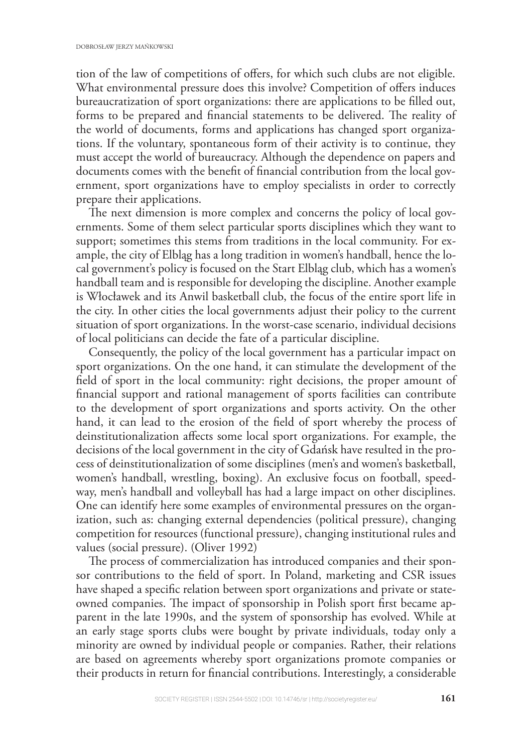tion of the law of competitions of offers, for which such clubs are not eligible. What environmental pressure does this involve? Competition of offers induces bureaucratization of sport organizations: there are applications to be filled out, forms to be prepared and financial statements to be delivered. The reality of the world of documents, forms and applications has changed sport organizations. If the voluntary, spontaneous form of their activity is to continue, they must accept the world of bureaucracy. Although the dependence on papers and documents comes with the benefit of financial contribution from the local government, sport organizations have to employ specialists in order to correctly prepare their applications.

The next dimension is more complex and concerns the policy of local governments. Some of them select particular sports disciplines which they want to support; sometimes this stems from traditions in the local community. For example, the city of Elbląg has a long tradition in women's handball, hence the local government's policy is focused on the Start Elbląg club, which has a women's handball team and is responsible for developing the discipline. Another example is Włocławek and its Anwil basketball club, the focus of the entire sport life in the city. In other cities the local governments adjust their policy to the current situation of sport organizations. In the worst-case scenario, individual decisions of local politicians can decide the fate of a particular discipline.

Consequently, the policy of the local government has a particular impact on sport organizations. On the one hand, it can stimulate the development of the field of sport in the local community: right decisions, the proper amount of nancial support and rational management of sports facilities can contribute to the development of sport organizations and sports activity. On the other hand, it can lead to the erosion of the field of sport whereby the process of deinstitutionalization affects some local sport organizations. For example, the decisions of the local government in the city of Gdańsk have resulted in the process of deinstitutionalization of some disciplines (men's and women's basketball, women's handball, wrestling, boxing). An exclusive focus on football, speedway, men's handball and volleyball has had a large impact on other disciplines. One can identify here some examples of environmental pressures on the organization, such as: changing external dependencies (political pressure), changing competition for resources (functional pressure), changing institutional rules and values (social pressure). (Oliver 1992)

The process of commercialization has introduced companies and their sponsor contributions to the field of sport. In Poland, marketing and CSR issues have shaped a specific relation between sport organizations and private or stateowned companies. The impact of sponsorship in Polish sport first became apparent in the late 1990s, and the system of sponsorship has evolved. While at an early stage sports clubs were bought by private individuals, today only a minority are owned by individual people or companies. Rather, their relations are based on agreements whereby sport organizations promote companies or their products in return for financial contributions. Interestingly, a considerable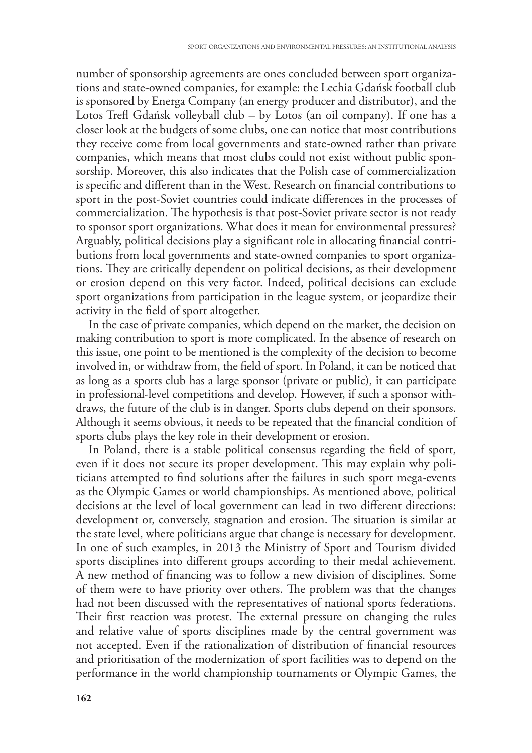number of sponsorship agreements are ones concluded between sport organizations and state-owned companies, for example: the Lechia Gdańsk football club is sponsored by Energa Company (an energy producer and distributor), and the Lotos Trefl Gdańsk volleyball club – by Lotos (an oil company). If one has a closer look at the budgets of some clubs, one can notice that most contributions they receive come from local governments and state-owned rather than private companies, which means that most clubs could not exist without public sponsorship. Moreover, this also indicates that the Polish case of commercialization is specific and different than in the West. Research on financial contributions to sport in the post-Soviet countries could indicate differences in the processes of commercialization. The hypothesis is that post-Soviet private sector is not ready to sponsor sport organizations. What does it mean for environmental pressures? Arguably, political decisions play a significant role in allocating financial contributions from local governments and state-owned companies to sport organizations. They are critically dependent on political decisions, as their development or erosion depend on this very factor. Indeed, political decisions can exclude sport organizations from participation in the league system, or jeopardize their activity in the field of sport altogether.

In the case of private companies, which depend on the market, the decision on making contribution to sport is more complicated. In the absence of research on this issue, one point to be mentioned is the complexity of the decision to become involved in, or withdraw from, the field of sport. In Poland, it can be noticed that as long as a sports club has a large sponsor (private or public), it can participate in professional-level competitions and develop. However, if such a sponsor withdraws, the future of the club is in danger. Sports clubs depend on their sponsors. Although it seems obvious, it needs to be repeated that the financial condition of sports clubs plays the key role in their development or erosion.

In Poland, there is a stable political consensus regarding the field of sport, even if it does not secure its proper development. This may explain why politicians attempted to find solutions after the failures in such sport mega-events as the Olympic Games or world championships. As mentioned above, political decisions at the level of local government can lead in two different directions: development or, conversely, stagnation and erosion. The situation is similar at the state level, where politicians argue that change is necessary for development. In one of such examples, in 2013 the Ministry of Sport and Tourism divided sports disciplines into different groups according to their medal achievement. A new method of financing was to follow a new division of disciplines. Some of them were to have priority over others. The problem was that the changes had not been discussed with the representatives of national sports federations. Their first reaction was protest. The external pressure on changing the rules and relative value of sports disciplines made by the central government was not accepted. Even if the rationalization of distribution of financial resources and prioritisation of the modernization of sport facilities was to depend on the performance in the world championship tournaments or Olympic Games, the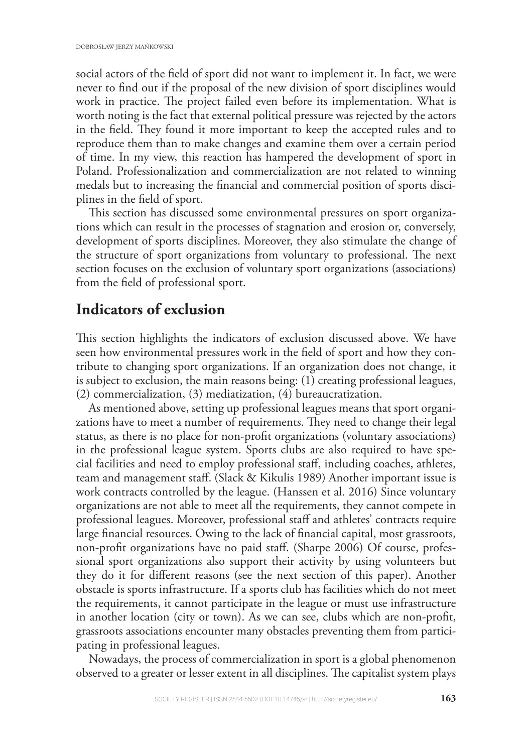social actors of the field of sport did not want to implement it. In fact, we were never to find out if the proposal of the new division of sport disciplines would work in practice. The project failed even before its implementation. What is worth noting is the fact that external political pressure was rejected by the actors in the field. They found it more important to keep the accepted rules and to reproduce them than to make changes and examine them over a certain period of time. In my view, this reaction has hampered the development of sport in Poland. Professionalization and commercialization are not related to winning medals but to increasing the financial and commercial position of sports disciplines in the field of sport.

This section has discussed some environmental pressures on sport organizations which can result in the processes of stagnation and erosion or, conversely, development of sports disciplines. Moreover, they also stimulate the change of the structure of sport organizations from voluntary to professional. The next section focuses on the exclusion of voluntary sport organizations (associations) from the field of professional sport.

## **Indicators of exclusion**

This section highlights the indicators of exclusion discussed above. We have seen how environmental pressures work in the field of sport and how they contribute to changing sport organizations. If an organization does not change, it is subject to exclusion, the main reasons being: (1) creating professional leagues, (2) commercialization, (3) mediatization, (4) bureaucratization.

As mentioned above, setting up professional leagues means that sport organizations have to meet a number of requirements. They need to change their legal status, as there is no place for non-profit organizations (voluntary associations) in the professional league system. Sports clubs are also required to have special facilities and need to employ professional staff, including coaches, athletes, team and management staff. (Slack & Kikulis 1989) Another important issue is work contracts controlled by the league. (Hanssen et al. 2016) Since voluntary organizations are not able to meet all the requirements, they cannot compete in professional leagues. Moreover, professional staff and athletes' contracts require large financial resources. Owing to the lack of financial capital, most grassroots, non-profit organizations have no paid staff. (Sharpe 2006) Of course, professional sport organizations also support their activity by using volunteers but they do it for different reasons (see the next section of this paper). Another obstacle is sports infrastructure. If a sports club has facilities which do not meet the requirements, it cannot participate in the league or must use infrastructure in another location (city or town). As we can see, clubs which are non-profit, grassroots associations encounter many obstacles preventing them from participating in professional leagues.

Nowadays, the process of commercialization in sport is a global phenomenon observed to a greater or lesser extent in all disciplines. The capitalist system plays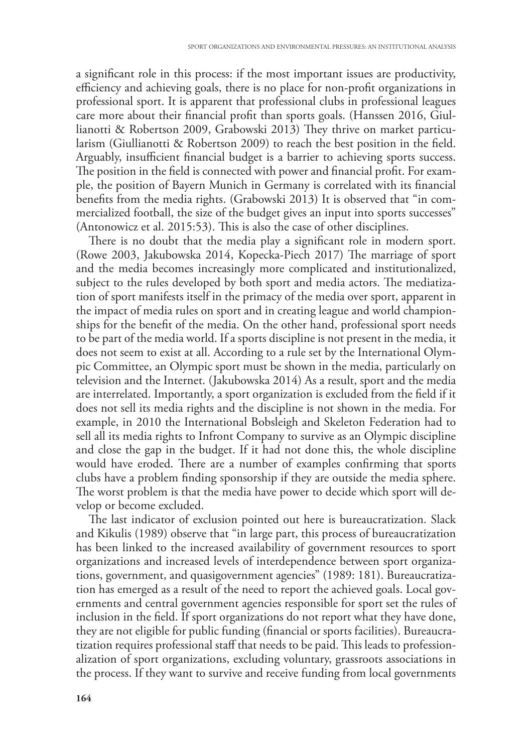a significant role in this process: if the most important issues are productivity, efficiency and achieving goals, there is no place for non-profit organizations in professional sport. It is apparent that professional clubs in professional leagues care more about their financial profit than sports goals. (Hanssen 2016, Giullianotti & Robertson 2009, Grabowski 2013) They thrive on market particularism (Giullianotti  $\&$  Robertson 2009) to reach the best position in the field. Arguably, insufficient financial budget is a barrier to achieving sports success. The position in the field is connected with power and financial profit. For example, the position of Bayern Munich in Germany is correlated with its financial benefits from the media rights. (Grabowski 2013) It is observed that "in commercialized football, the size of the budget gives an input into sports successes" (Antonowicz et al. 2015:53). This is also the case of other disciplines.

There is no doubt that the media play a significant role in modern sport. (Rowe 2003, Jakubowska 2014, Kopecka-Piech 2017) The marriage of sport and the media becomes increasingly more complicated and institutionalized, subject to the rules developed by both sport and media actors. The mediatization of sport manifests itself in the primacy of the media over sport, apparent in the impact of media rules on sport and in creating league and world championships for the benefit of the media. On the other hand, professional sport needs to be part of the media world. If a sports discipline is not present in the media, it does not seem to exist at all. According to a rule set by the International Olympic Committee, an Olympic sport must be shown in the media, particularly on television and the Internet. (Jakubowska 2014) As a result, sport and the media are interrelated. Importantly, a sport organization is excluded from the field if it does not sell its media rights and the discipline is not shown in the media. For example, in 2010 the International Bobsleigh and Skeleton Federation had to sell all its media rights to Infront Company to survive as an Olympic discipline and close the gap in the budget. If it had not done this, the whole discipline would have eroded. There are a number of examples confirming that sports clubs have a problem finding sponsorship if they are outside the media sphere. The worst problem is that the media have power to decide which sport will develop or become excluded.

The last indicator of exclusion pointed out here is bureaucratization. Slack and Kikulis (1989) observe that "in large part, this process of bureaucratization has been linked to the increased availability of government resources to sport organizations and increased levels of interdependence between sport organizations, government, and quasigovernment agencies" (1989: 181). Bureaucratization has emerged as a result of the need to report the achieved goals. Local governments and central government agencies responsible for sport set the rules of inclusion in the field. If sport organizations do not report what they have done, they are not eligible for public funding (financial or sports facilities). Bureaucratization requires professional staff that needs to be paid. This leads to professionalization of sport organizations, excluding voluntary, grassroots associations in the process. If they want to survive and receive funding from local governments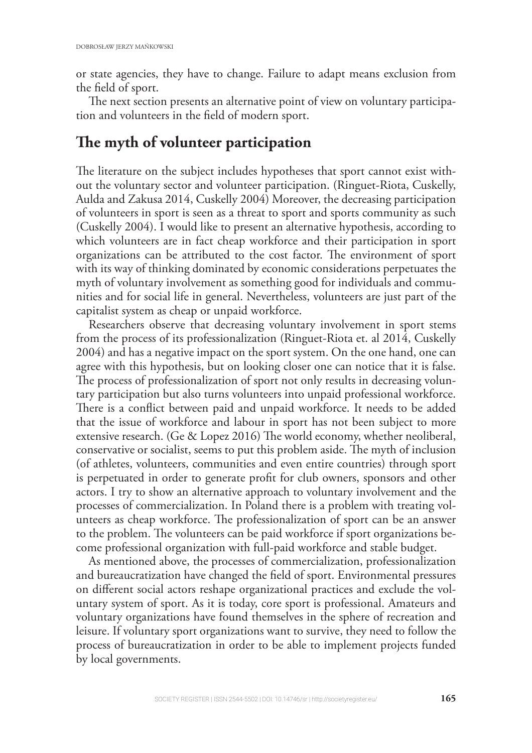or state agencies, they have to change. Failure to adapt means exclusion from the field of sport.

The next section presents an alternative point of view on voluntary participation and volunteers in the field of modern sport.

## The myth of volunteer participation

The literature on the subject includes hypotheses that sport cannot exist without the voluntary sector and volunteer participation. (Ringuet-Riota, Cuskelly, Aulda and Zakusa 2014, Cuskelly 2004) Moreover, the decreasing participation of volunteers in sport is seen as a threat to sport and sports community as such (Cuskelly 2004). I would like to present an alternative hypothesis, according to which volunteers are in fact cheap workforce and their participation in sport organizations can be attributed to the cost factor. The environment of sport with its way of thinking dominated by economic considerations perpetuates the myth of voluntary involvement as something good for individuals and communities and for social life in general. Nevertheless, volunteers are just part of the capitalist system as cheap or unpaid workforce.

Researchers observe that decreasing voluntary involvement in sport stems from the process of its professionalization (Ringuet-Riota et. al 2014, Cuskelly 2004) and has a negative impact on the sport system. On the one hand, one can agree with this hypothesis, but on looking closer one can notice that it is false. The process of professionalization of sport not only results in decreasing voluntary participation but also turns volunteers into unpaid professional workforce. There is a conflict between paid and unpaid workforce. It needs to be added that the issue of workforce and labour in sport has not been subject to more extensive research. (Ge & Lopez 2016) The world economy, whether neoliberal, conservative or socialist, seems to put this problem aside. The myth of inclusion (of athletes, volunteers, communities and even entire countries) through sport is perpetuated in order to generate profit for club owners, sponsors and other actors. I try to show an alternative approach to voluntary involvement and the processes of commercialization. In Poland there is a problem with treating volunteers as cheap workforce. The professionalization of sport can be an answer to the problem. The volunteers can be paid workforce if sport organizations become professional organization with full-paid workforce and stable budget.

As mentioned above, the processes of commercialization, professionalization and bureaucratization have changed the field of sport. Environmental pressures on different social actors reshape organizational practices and exclude the voluntary system of sport. As it is today, core sport is professional. Amateurs and voluntary organizations have found themselves in the sphere of recreation and leisure. If voluntary sport organizations want to survive, they need to follow the process of bureaucratization in order to be able to implement projects funded by local governments.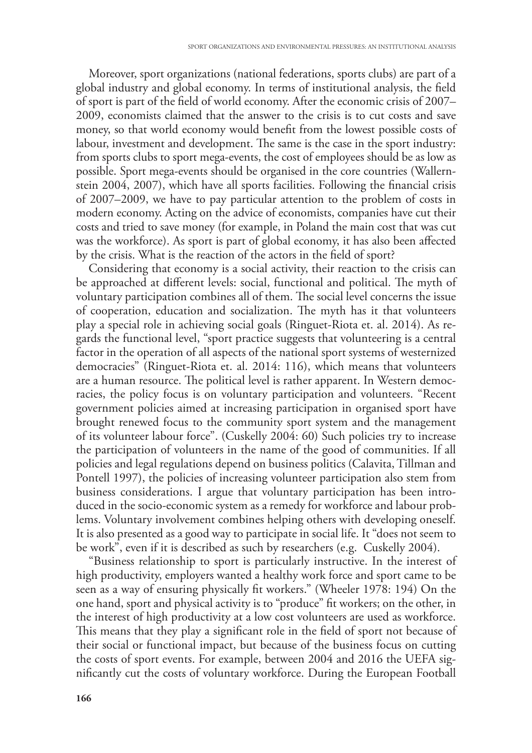Moreover, sport organizations (national federations, sports clubs) are part of a global industry and global economy. In terms of institutional analysis, the field of sport is part of the field of world economy. After the economic crisis of 2007– 2009, economists claimed that the answer to the crisis is to cut costs and save money, so that world economy would benefit from the lowest possible costs of labour, investment and development. The same is the case in the sport industry: from sports clubs to sport mega-events, the cost of employees should be as low as possible. Sport mega-events should be organised in the core countries (Wallernstein 2004, 2007), which have all sports facilities. Following the financial crisis of 2007–2009, we have to pay particular attention to the problem of costs in modern economy. Acting on the advice of economists, companies have cut their costs and tried to save money (for example, in Poland the main cost that was cut was the workforce). As sport is part of global economy, it has also been affected by the crisis. What is the reaction of the actors in the field of sport?

Considering that economy is a social activity, their reaction to the crisis can be approached at different levels: social, functional and political. The myth of voluntary participation combines all of them. The social level concerns the issue of cooperation, education and socialization. The myth has it that volunteers play a special role in achieving social goals (Ringuet-Riota et. al. 2014). As regards the functional level, "sport practice suggests that volunteering is a central factor in the operation of all aspects of the national sport systems of westernized democracies" (Ringuet-Riota et. al. 2014: 116), which means that volunteers are a human resource. The political level is rather apparent. In Western democracies, the policy focus is on voluntary participation and volunteers. "Recent government policies aimed at increasing participation in organised sport have brought renewed focus to the community sport system and the management of its volunteer labour force". (Cuskelly 2004: 60) Such policies try to increase the participation of volunteers in the name of the good of communities. If all policies and legal regulations depend on business politics (Calavita, Tillman and Pontell 1997), the policies of increasing volunteer participation also stem from business considerations. I argue that voluntary participation has been introduced in the socio-economic system as a remedy for workforce and labour problems. Voluntary involvement combines helping others with developing oneself. It is also presented as a good way to participate in social life. It "does not seem to be work", even if it is described as such by researchers (e.g. Cuskelly 2004).

"Business relationship to sport is particularly instructive. In the interest of high productivity, employers wanted a healthy work force and sport came to be seen as a way of ensuring physically fit workers." (Wheeler 1978: 194) On the one hand, sport and physical activity is to "produce" fit workers; on the other, in the interest of high productivity at a low cost volunteers are used as workforce. This means that they play a significant role in the field of sport not because of their social or functional impact, but because of the business focus on cutting the costs of sport events. For example, between 2004 and 2016 the UEFA significantly cut the costs of voluntary workforce. During the European Football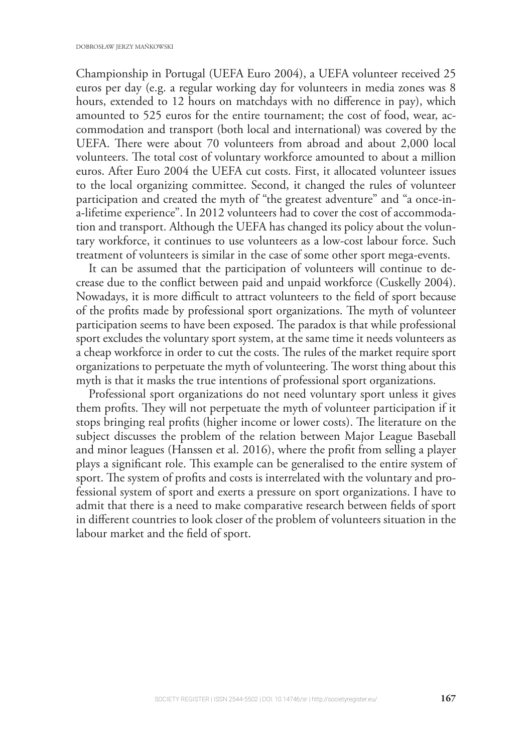Championship in Portugal (UEFA Euro 2004), a UEFA volunteer received 25 euros per day (e.g. a regular working day for volunteers in media zones was 8 hours, extended to 12 hours on matchdays with no difference in pay), which amounted to 525 euros for the entire tournament; the cost of food, wear, accommodation and transport (both local and international) was covered by the UEFA. There were about 70 volunteers from abroad and about 2,000 local volunteers. The total cost of voluntary workforce amounted to about a million euros. After Euro 2004 the UEFA cut costs. First, it allocated volunteer issues to the local organizing committee. Second, it changed the rules of volunteer participation and created the myth of "the greatest adventure" and "a once-ina-lifetime experience". In 2012 volunteers had to cover the cost of accommodation and transport. Although the UEFA has changed its policy about the voluntary workforce, it continues to use volunteers as a low-cost labour force. Such treatment of volunteers is similar in the case of some other sport mega-events.

It can be assumed that the participation of volunteers will continue to decrease due to the conflict between paid and unpaid workforce (Cuskelly 2004). Nowadays, it is more difficult to attract volunteers to the field of sport because of the profits made by professional sport organizations. The myth of volunteer participation seems to have been exposed. The paradox is that while professional sport excludes the voluntary sport system, at the same time it needs volunteers as a cheap workforce in order to cut the costs. The rules of the market require sport organizations to perpetuate the myth of volunteering. The worst thing about this myth is that it masks the true intentions of professional sport organizations.

Professional sport organizations do not need voluntary sport unless it gives them profits. They will not perpetuate the myth of volunteer participation if it stops bringing real profits (higher income or lower costs). The literature on the subject discusses the problem of the relation between Major League Baseball and minor leagues (Hanssen et al. 2016), where the profit from selling a player plays a significant role. This example can be generalised to the entire system of sport. The system of profits and costs is interrelated with the voluntary and professional system of sport and exerts a pressure on sport organizations. I have to admit that there is a need to make comparative research between fields of sport in different countries to look closer of the problem of volunteers situation in the labour market and the field of sport.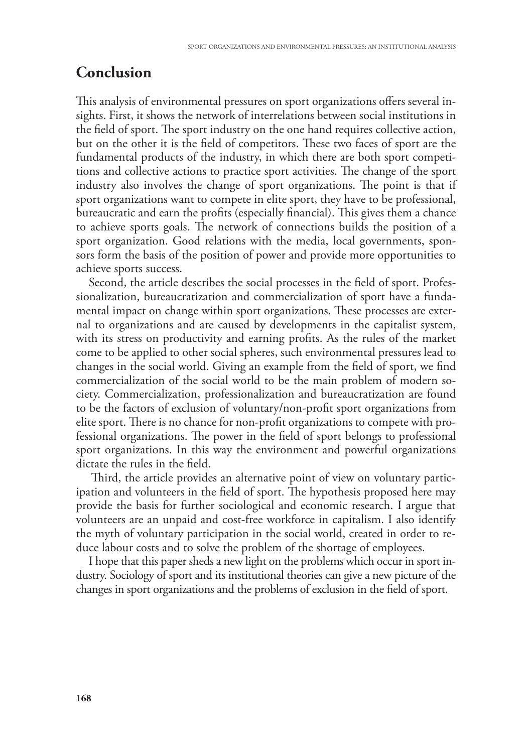#### **Conclusion**

This analysis of environmental pressures on sport organizations offers several insights. First, it shows the network of interrelations between social institutions in the field of sport. The sport industry on the one hand requires collective action, but on the other it is the field of competitors. These two faces of sport are the fundamental products of the industry, in which there are both sport competitions and collective actions to practice sport activities. The change of the sport industry also involves the change of sport organizations. The point is that if sport organizations want to compete in elite sport, they have to be professional, bureaucratic and earn the profits (especially financial). This gives them a chance to achieve sports goals. The network of connections builds the position of a sport organization. Good relations with the media, local governments, sponsors form the basis of the position of power and provide more opportunities to achieve sports success.

Second, the article describes the social processes in the field of sport. Professionalization, bureaucratization and commercialization of sport have a fundamental impact on change within sport organizations. These processes are external to organizations and are caused by developments in the capitalist system, with its stress on productivity and earning profits. As the rules of the market come to be applied to other social spheres, such environmental pressures lead to changes in the social world. Giving an example from the field of sport, we find commercialization of the social world to be the main problem of modern society. Commercialization, professionalization and bureaucratization are found to be the factors of exclusion of voluntary/non-profit sport organizations from elite sport. There is no chance for non-profit organizations to compete with professional organizations. The power in the field of sport belongs to professional sport organizations. In this way the environment and powerful organizations dictate the rules in the field.

Third, the article provides an alternative point of view on voluntary participation and volunteers in the field of sport. The hypothesis proposed here may provide the basis for further sociological and economic research. I argue that volunteers are an unpaid and cost-free workforce in capitalism. I also identify the myth of voluntary participation in the social world, created in order to reduce labour costs and to solve the problem of the shortage of employees.

I hope that this paper sheds a new light on the problems which occur in sport industry. Sociology of sport and its institutional theories can give a new picture of the changes in sport organizations and the problems of exclusion in the field of sport.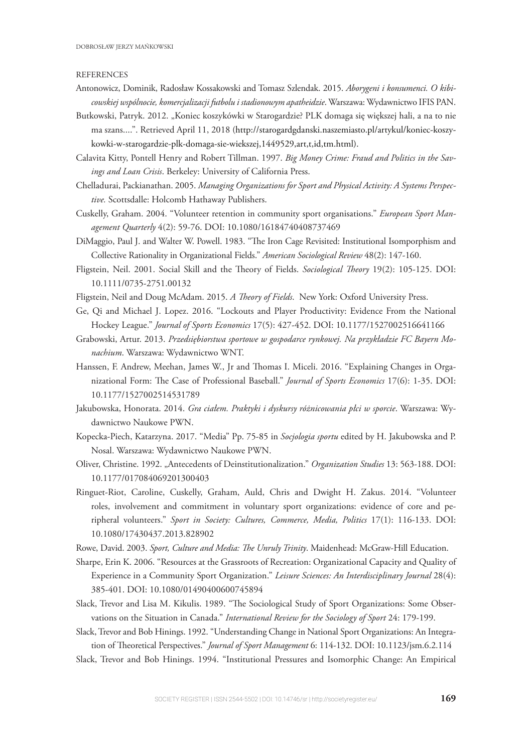#### **REFERENCES**

- Antonowicz, Dominik, Radosław Kossakowski and Tomasz Szlendak. 2015. *Aborygeni i konsumenci. O kibicowskiej wspólnocie, komercjalizacji futbolu i stadionowym apatheidzie*. Warszawa: Wydawnictwo IFIS PAN.
- Butkowski, Patryk. 2012. "Koniec koszykówki w Starogardzie? PLK domaga się większej hali, a na to nie ma szans....". Retrieved April 11, 2018 (http://starogardgdanski.naszemiasto.pl/artykul/koniec-koszykowki-w-starogardzie-plk-domaga-sie-wiekszej,1449529,art,t,id,tm.html).
- Calavita Kitty, Pontell Henry and Robert Tillman. 1997. *Big Money Crime: Fraud and Politics in the Savings and Loan Crisis*. Berkeley: University of California Press.
- Chelladurai, Packianathan. 2005. *Managing Organizations for Sport and Physical Activity: A Systems Perspective.* Scottsdalle: Holcomb Hathaway Publishers.
- Cuskelly, Graham. 2004. "Volunteer retention in community sport organisations." *European Sport Management Quarterly* 4(2): 59-76. DOI: 10.1080/16184740408737469
- DiMaggio, Paul J. and Walter W. Powell. 1983. "The Iron Cage Revisited: Institutional Isomporphism and Collective Rationality in Organizational Fields." *American Sociological Review* 48(2): 147-160.
- Fligstein, Neil. 2001. Social Skill and the Theory of Fields. *Sociological Theory* 19(2): 105-125. DOI: 10.1111/0735-2751.00132
- Fligstein, Neil and Doug McAdam. 2015. A Theory of Fields. New York: Oxford University Press.
- Ge, Qi and Michael J. Lopez. 2016. "Lockouts and Player Productivity: Evidence From the National Hockey League." *Journal of Sports Economics* 17(5): 427-452. DOI: 10.1177/1527002516641166
- Grabowski, Artur. 2013. *Przedsiębiorstwa sportowe w gospodarce rynkowej. Na przykładzie FC Bayern Monachium*. Warszawa: Wydawnictwo WNT.
- Hanssen, F. Andrew, Meehan, James W., Jr and Thomas I. Miceli. 2016. "Explaining Changes in Organizational Form: The Case of Professional Baseball." *Journal of Sports Economics* 17(6): 1-35. DOI: 10.1177/1527002514531789
- Jakubowska, Honorata. 2014. *Gra ciałem. Praktyki i dyskursy różnicowania płci w sporcie*. Warszawa: Wydawnictwo Naukowe PWN.
- Kopecka-Piech, Katarzyna. 2017. "Media" Pp. 75-85 in *Socjologia sportu* edited by H. Jakubowska and P. Nosal. Warszawa: Wydawnictwo Naukowe PWN.
- Oliver, Christine. 1992. "Antecedents of Deinstitutionalization." *Organization Studies* 13: 563-188. DOI: 10.1177/017084069201300403
- Ringuet-Riot, Caroline, Cuskelly, Graham, Auld, Chris and Dwight H. Zakus. 2014. "Volunteer roles, involvement and commitment in voluntary sport organizations: evidence of core and peripheral volunteers." *Sport in Society: Cultures, Commerce, Media, Politics* 17(1): 116-133. DOI: 10.1080/17430437.2013.828902
- Rowe, David. 2003. Sport, Culture and Media: The Unruly Trinity. Maidenhead: McGraw-Hill Education.
- Sharpe, Erin K. 2006. "Resources at the Grassroots of Recreation: Organizational Capacity and Quality of Experience in a Community Sport Organization." *Leisure Sciences: An Interdisciplinary Journal* 28(4): 385-401. DOI: 10.1080/01490400600745894
- Slack, Trevor and Lisa M. Kikulis. 1989. "The Sociological Study of Sport Organizations: Some Observations on the Situation in Canada." *International Review for the Sociology of Sport* 24: 179-199.
- Slack, Trevor and Bob Hinings. 1992. "Understanding Change in National Sport Organizations: An Integration of Theoretical Perspectives." *Journal of Sport Management* 6: 114-132. DOI: 10.1123/jsm.6.2.114
- Slack, Trevor and Bob Hinings. 1994. "Institutional Pressures and Isomorphic Change: An Empirical